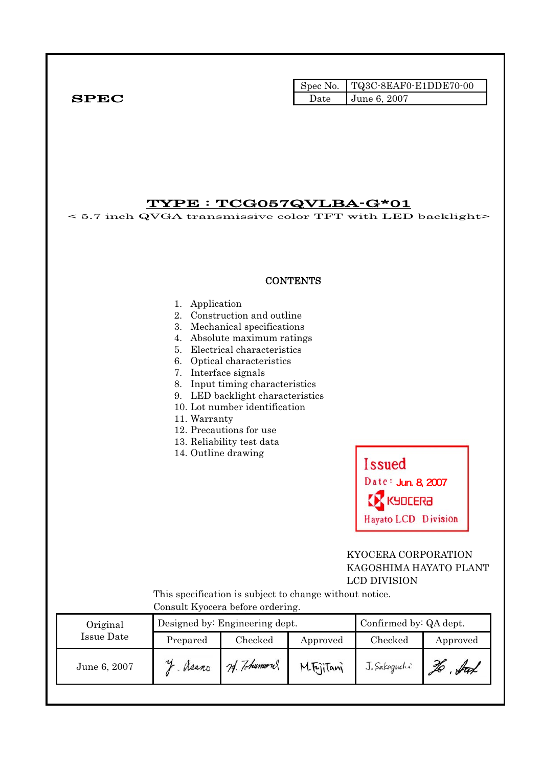|              |      | Spec No. TQ3C-8EAF0-E1DDE70-00 |
|--------------|------|--------------------------------|
| ${\bf SPEC}$ | Date | <b>June 6, 2007</b>            |

# TYPE : TCG057QVLBA-G\*01

< 5.7 inch QVGA transmissive color TFT with LED backlight>

#### **CONTENTS**

#### 1. Application

- 2. Construction and outline
- 3. Mechanical specifications
- 4. Absolute maximum ratings
- 5. Electrical characteristics
- 6. Optical characteristics
- 7. Interface signals
- 8. Input timing characteristics
- 9. LED backlight characteristics
- 10. Lot number identification
- 11. Warranty
- 12. Precautions for use
- 13. Reliability test data
- 14. Outline drawing



#### KYOCERA CORPORATION KAGOSHIMA HAYATO PLANT LCD DIVISION

 This specification is subject to change without notice. Consult Kyocera before ordering.

| Original     |          | Designed by: Engineering dept. | Confirmed by: QA dept. |              |          |  |  |
|--------------|----------|--------------------------------|------------------------|--------------|----------|--|--|
| Issue Date   | Prepared | Checked                        | Approved               | Checked      | Approved |  |  |
| June 6, 2007 | Neano    | 24. Tohumout                   | M.FrjiTani             | J. Sakaguchi | ful      |  |  |
|              |          |                                |                        |              |          |  |  |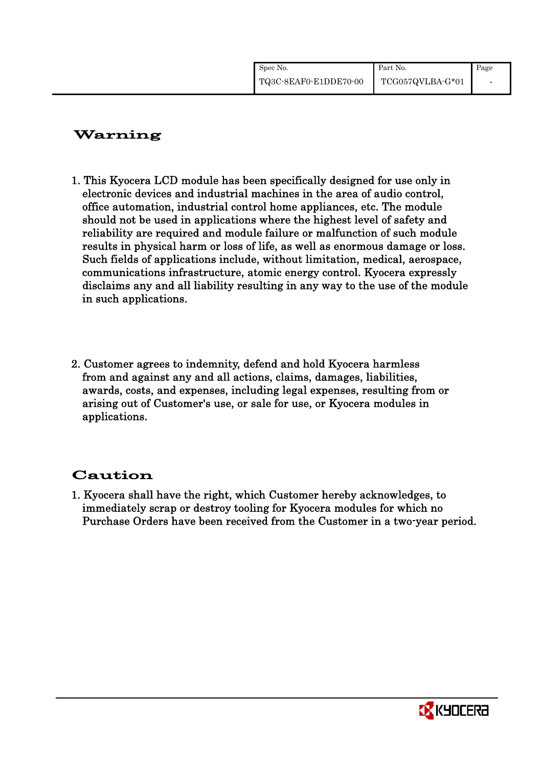| Spec No.              | Part No.         | Page |
|-----------------------|------------------|------|
| TQ3C-8EAF0-E1DDE70-00 | TCG057QVLBA-G*01 |      |

# Warning

- 1. This Kyocera LCD module has been specifically designed for use only in electronic devices and industrial machines in the area of audio control, office automation, industrial control home appliances, etc. The module should not be used in applications where the highest level of safety and reliability are required and module failure or malfunction of such module results in physical harm or loss of life, as well as enormous damage or loss. Such fields of applications include, without limitation, medical, aerospace, communications infrastructure, atomic energy control. Kyocera expressly disclaims any and all liability resulting in any way to the use of the module in such applications.
- 2. Customer agrees to indemnity, defend and hold Kyocera harmless from and against any and all actions, claims, damages, liabilities, awards, costs, and expenses, including legal expenses, resulting from or arising out of Customer's use, or sale for use, or Kyocera modules in applications.

# Caution

1. Kyocera shall have the right, which Customer hereby acknowledges, to immediately scrap or destroy tooling for Kyocera modules for which no Purchase Orders have been received from the Customer in a two-year period.

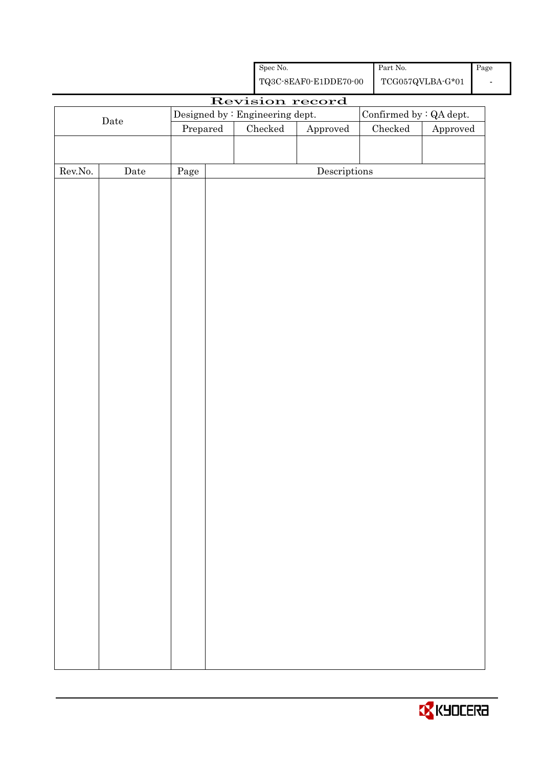|         |                                         |          |  | ${\rm Spec}$ No. |                                                    | $\operatorname{Part}$ No. |                                   | Page |
|---------|-----------------------------------------|----------|--|------------------|----------------------------------------------------|---------------------------|-----------------------------------|------|
|         |                                         |          |  |                  | ${\bf TQ3C\text{-}SEAF0\text{-}E1DDE70\text{-}00}$ |                           | $\operatorname{TCG057QVLBA-G*01}$ |      |
|         |                                         |          |  |                  | Revision record                                    |                           |                                   |      |
|         | Designed by : Engineering dept.<br>Date |          |  |                  |                                                    |                           | Confirmed by : QA dept.           |      |
|         |                                         | Prepared |  | $\rm Checked$    | Approved                                           | Checked                   | Approved                          |      |
|         |                                         |          |  |                  |                                                    |                           |                                   |      |
| Rev.No. | Date                                    | Page     |  |                  | $\label{eq:2} \textbf{Descriptions}$               |                           |                                   |      |
|         |                                         |          |  |                  |                                                    |                           |                                   |      |
|         |                                         |          |  |                  |                                                    |                           |                                   |      |
|         |                                         |          |  |                  |                                                    |                           |                                   |      |
|         |                                         |          |  |                  |                                                    |                           |                                   |      |
|         |                                         |          |  |                  |                                                    |                           |                                   |      |
|         |                                         |          |  |                  |                                                    |                           |                                   |      |
|         |                                         |          |  |                  |                                                    |                           |                                   |      |
|         |                                         |          |  |                  |                                                    |                           |                                   |      |
|         |                                         |          |  |                  |                                                    |                           |                                   |      |
|         |                                         |          |  |                  |                                                    |                           |                                   |      |
|         |                                         |          |  |                  |                                                    |                           |                                   |      |
|         |                                         |          |  |                  |                                                    |                           |                                   |      |
|         |                                         |          |  |                  |                                                    |                           |                                   |      |
|         |                                         |          |  |                  |                                                    |                           |                                   |      |
|         |                                         |          |  |                  |                                                    |                           |                                   |      |
|         |                                         |          |  |                  |                                                    |                           |                                   |      |
|         |                                         |          |  |                  |                                                    |                           |                                   |      |
|         |                                         |          |  |                  |                                                    |                           |                                   |      |
|         |                                         |          |  |                  |                                                    |                           |                                   |      |
|         |                                         |          |  |                  |                                                    |                           |                                   |      |
|         |                                         |          |  |                  |                                                    |                           |                                   |      |
|         |                                         |          |  |                  |                                                    |                           |                                   |      |
|         |                                         |          |  |                  |                                                    |                           |                                   |      |
|         |                                         |          |  |                  |                                                    |                           |                                   |      |
|         |                                         |          |  |                  |                                                    |                           |                                   |      |
|         |                                         |          |  |                  |                                                    |                           |                                   |      |
|         |                                         |          |  |                  |                                                    |                           |                                   |      |
|         |                                         |          |  |                  |                                                    |                           |                                   |      |
|         |                                         |          |  |                  |                                                    |                           |                                   |      |
|         |                                         |          |  |                  |                                                    |                           |                                   |      |
|         |                                         |          |  |                  |                                                    |                           |                                   |      |
|         |                                         |          |  |                  |                                                    |                           |                                   |      |
|         |                                         |          |  |                  |                                                    |                           |                                   |      |

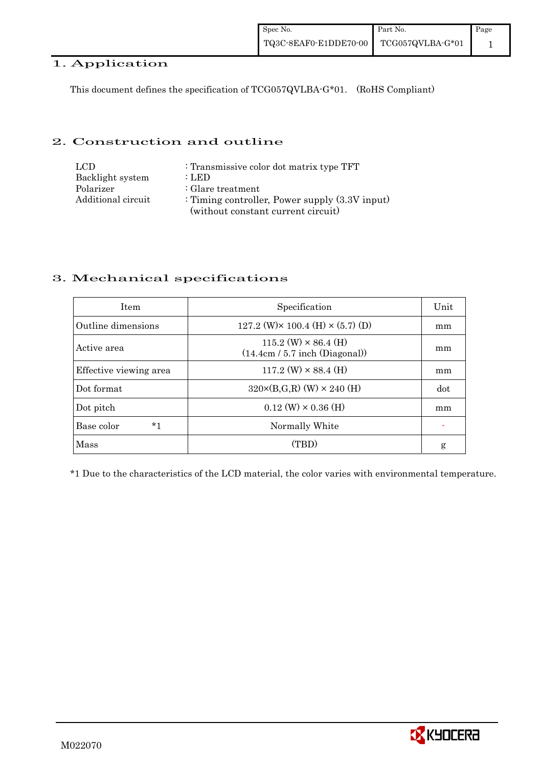#### 1. Application

This document defines the specification of TCG057QVLBA-G\*01. (RoHS Compliant)

#### 2. Construction and outline

| LCD.               | : Transmissive color dot matrix type TFT         |
|--------------------|--------------------------------------------------|
| Backlight system   | : LED                                            |
| Polarizer          | $\therefore$ Glare treatment                     |
| Additional circuit | : Timing controller, Power supply $(3.3V$ input) |
|                    | (without constant current circuit)               |

# 3. Mechanical specifications

| <b>Item</b>            | Specification                                                   | Unit |
|------------------------|-----------------------------------------------------------------|------|
| Outline dimensions     | $127.2$ (W) $\times$ 100.4 (H) $\times$ (5.7) (D)               | mm   |
| Active area            | $115.2$ (W) $\times$ 86.4 (H)<br>(14.4cm / 5.7 inch (Diagonal)) | mm   |
| Effective viewing area | $117.2$ (W) $\times$ 88.4 (H)                                   | mm   |
| Dot format             | $320 \times (B,G,R)$ (W) $\times 240$ (H)                       | dot  |
| Dot pitch              | $0.12$ (W) $\times$ 0.36 (H)                                    | mm   |
| *1<br>Base color       | Normally White                                                  |      |
| Mass                   | (TBD)                                                           | g    |

\*1 Due to the characteristics of the LCD material, the color varies with environmental temperature.

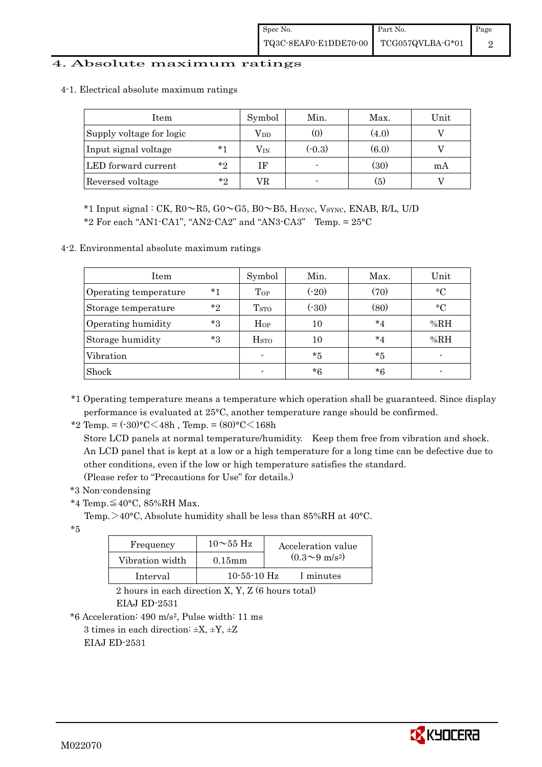#### 4. Absolute maximum ratings

| Item                     |         | Symbol       | Min.     | Max.  | Unit |
|--------------------------|---------|--------------|----------|-------|------|
| Supply voltage for logic |         | $\rm V_{DD}$ | (0)      | (4.0) |      |
| Input signal voltage     | $*1$    | $\rm V_{IN}$ | $(-0.3)$ | (6.0) |      |
| LED forward current      | $*_{2}$ | ΙF           |          | (30)  | mA   |
| Reversed voltage         | $*_{2}$ |              |          | (5)   |      |

4-1. Electrical absolute maximum ratings

\*1 Input signal : CK,  $R0 \sim R5$ ,  $G0 \sim G5$ ,  $B0 \sim B5$ , Hsync, Vsync, ENAB, R/L, U/D

 $*2$  For each "AN1-CA1", "AN2-CA2" and "AN3-CA3" Temp. =  $25^{\circ}$ C

#### 4-2. Environmental absolute maximum ratings

| Item                  |         | Symbol                  | Min.    | Max.    | Unit      |
|-----------------------|---------|-------------------------|---------|---------|-----------|
| Operating temperature | $*1$    | Top                     | $(-20)$ | (70)    | $\circ$ C |
| Storage temperature   | $*_{2}$ | T <sub>STO</sub>        | (.30)   | (80)    | $\circ$ C |
| Operating humidity    | $*3$    | Hop                     | 10      | $*_{4}$ | %RH       |
| Storage humidity      | $*3$    | <b>H</b> <sub>sto</sub> | 10      | $*_{4}$ | %RH       |
| Vibration             |         | $\blacksquare$          | $*_{5}$ | *5      |           |
| Shock                 |         |                         | $*6$    | $*6$    |           |

\*1 Operating temperature means a temperature which operation shall be guaranteed. Since display performance is evaluated at 25°C, another temperature range should be confirmed.

\*2 Temp. =  $(-30)$ °C $<$ 48h, Temp. =  $(80)$ °C $<$ 168h

 Store LCD panels at normal temperature/humidity. Keep them free from vibration and shock. An LCD panel that is kept at a low or a high temperature for a long time can be defective due to other conditions, even if the low or high temperature satisfies the standard. (Please refer to "Precautions for Use" for details.)

\*3 Non-condensing

\*4 Temp.≦40°C, 85%RH Max.

Temp.  $>40^{\circ}$ C, Absolute humidity shall be less than 85%RH at 40 $^{\circ}$ C.

\*5

| Frequency       | $10\sim55~\text{Hz}$ | Acceleration value           |
|-----------------|----------------------|------------------------------|
| Vibration width | $0.15$ mm            | $(0.3 \sim 9 \text{ m/s}^2)$ |
| Interval        | $10 - 55 - 10$ Hz    | 1 minutes                    |

 2 hours in each direction X, Y, Z (6 hours total) EIAJ ED-2531

\*6 Acceleration: 490 m/s2, Pulse width: 11 ms

3 times in each direction:  $\pm X$ ,  $\pm Y$ ,  $\pm Z$ 

EIAJ ED-2531

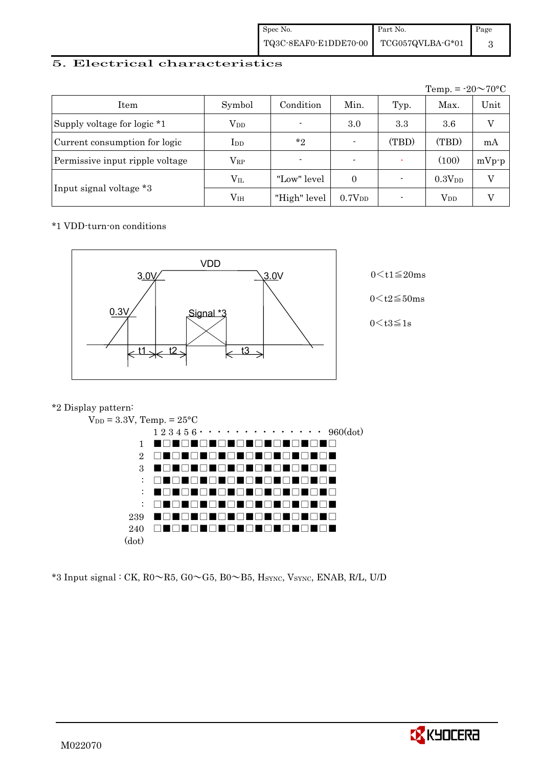| Spec No.              | Part No.         | Page |
|-----------------------|------------------|------|
| TQ3C-8EAF0-E1DDE70-00 | TCG057QVLBA-G*01 |      |

#### 5. Electrical characteristics

|                                 |               |                |                          |       | Temp. = $-20 \sim 70$ °C |         |
|---------------------------------|---------------|----------------|--------------------------|-------|--------------------------|---------|
| Item                            | Symbol        | Condition      | Min.                     | Typ.  | Max.                     | Unit    |
| Supply voltage for logic *1     | $\rm V_{DD}$  | $\blacksquare$ | 3.0                      | 3.3   | $3.6\,$                  | V       |
| Current consumption for logic   | $_{\rm{LDD}}$ | $*_{2}$        | $\overline{\phantom{0}}$ | (TBD) | (TBD)                    | mA      |
| Permissive input ripple voltage | $\rm V_{RP}$  |                | $\blacksquare$           |       | (100)                    | $mVp-p$ |
|                                 | $\rm V_{II}$  | "Low" level    | $\Omega$                 |       | 0.3V <sub>DD</sub>       | V       |
| Input signal voltage *3         | $\rm V_{IH}$  | "High" level   | $0.7V_{DD}$              |       | $\operatorname{V_{DD}}$  |         |

#### \*1 VDD-turn-on conditions



 $0 \leq t2 \leq 50$ ms

 $0$  < t3≦1s

#### \*2 Display pattern:



\*3 Input signal : CK, R0~R5, G0~G5, B0~B5, HSYNC, VSYNC, ENAB, R/L, U/D

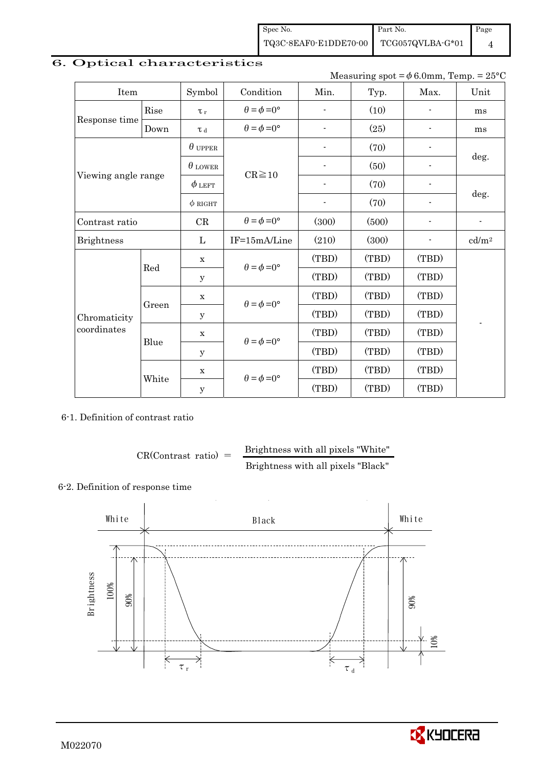Spec No. TQ3C-8EAF0-E1DDE70-00 Part No. TCG057QVLBA-G\*01 Page 4

# 6. Optical characteristics

Measuring spot =  $\phi$  6.0mm, Temp. = 25°C

| Item                |       | Symbol         | Condition                   | Min.                     | Typ.  | Max.                     | Unit                     |
|---------------------|-------|----------------|-----------------------------|--------------------------|-------|--------------------------|--------------------------|
|                     | Rise  | $\tau_r$       | $\theta = \phi = 0^{\circ}$ |                          | (10)  |                          | ms                       |
| Response time       | Down  | $\tau$ d       | $\theta = \phi = 0^{\circ}$ | $\overline{\phantom{a}}$ | (25)  |                          | ms                       |
|                     |       | $\theta$ upper |                             |                          | (70)  |                          |                          |
|                     |       | $\theta$ LOWER | $CR \ge 10$                 |                          | (50)  |                          | deg.                     |
| Viewing angle range |       | $\phi$ left    |                             | $\blacksquare$           | (70)  | $\overline{\phantom{a}}$ |                          |
|                     |       | $\phi$ RIGHT   |                             | -                        | (70)  | -                        | deg.                     |
| Contrast ratio      |       | CR             | $\theta = \phi = 0^{\circ}$ | (300)                    | (500) |                          | $\overline{\phantom{a}}$ |
| <b>Brightness</b>   |       |                | IF=15mA/Line                | (210)                    | (300) | $\overline{\phantom{a}}$ | cd/m <sup>2</sup>        |
|                     | Red   | $\mathbf X$    | $\theta = \phi = 0^{\circ}$ | (TBD)                    | (TBD) | (TBD)                    |                          |
|                     |       | y              |                             | (TBD)                    | (TBD) | (TBD)                    |                          |
|                     |       | $\mathbf X$    | $\theta = \phi = 0^{\circ}$ | (TBD)                    | (TBD) | (TBD)                    |                          |
| Chromaticity        | Green | $\mathbf y$    |                             | (TBD)                    | (TBD) | (TBD)                    |                          |
| coordinates         | Blue  | x              | $\theta = \phi = 0^{\circ}$ | (TBD)                    | (TBD) | (TBD)                    |                          |
|                     |       | У              |                             | (TBD)                    | (TBD) | (TBD)                    |                          |
|                     |       | $\mathbf X$    | $\theta = \phi = 0^{\circ}$ | (TBD)                    | (TBD) | (TBD)                    |                          |
|                     | White | $\mathbf y$    |                             | (TBD)                    | (TBD) | (TBD)                    |                          |

6-1. Definition of contrast ratio

$$
CR(Contrast ratio) = \frac{Brightness with all pixels "White" }{Brightness with all pixels "Black" }
$$

#### 6-2. Definition of response time



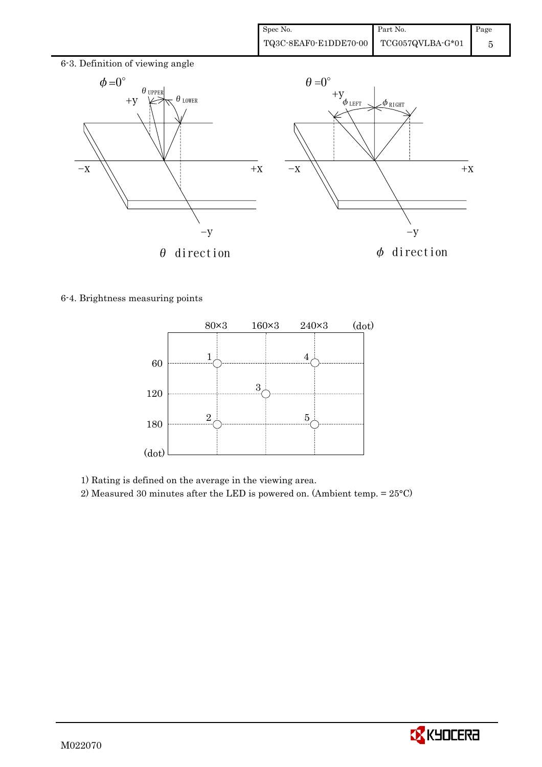

6-4. Brightness measuring points



1) Rating is defined on the average in the viewing area.

2) Measured 30 minutes after the LED is powered on. (Ambient temp. = 25°C)

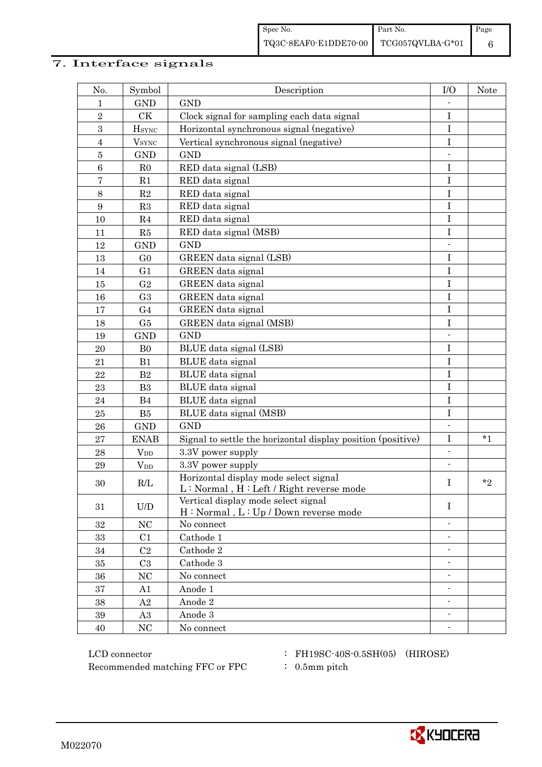#### 7. Interface signals

| No.              | Symbol                 | Description                                                                      | I/O                      | <b>Note</b> |
|------------------|------------------------|----------------------------------------------------------------------------------|--------------------------|-------------|
| 1                | <b>GND</b>             | <b>GND</b>                                                                       |                          |             |
| $\overline{2}$   | CK                     | Clock signal for sampling each data signal                                       | I                        |             |
| 3                | $H_{\rm SYNC}$         | Horizontal synchronous signal (negative)                                         | I                        |             |
| $\overline{4}$   | $V_{\rm SYNC}$         | Vertical synchronous signal (negative)                                           | I                        |             |
| $\bf 5$          | <b>GND</b>             | <b>GND</b>                                                                       |                          |             |
| $\,6$            | R <sub>0</sub>         | RED data signal (LSB)                                                            | I                        |             |
| $\sqrt{ }$       | R1                     | RED data signal                                                                  | $\rm I$                  |             |
| 8                | $\mathbf{R}2$          | RED data signal                                                                  | $\bf I$                  |             |
| $\boldsymbol{9}$ | R3                     | RED data signal                                                                  | $\mathbf I$              |             |
| 10               | R <sub>4</sub>         | RED data signal                                                                  | I                        |             |
| 11               | R5                     | RED data signal (MSB)                                                            | $\mathbf I$              |             |
| 12               | <b>GND</b>             | <b>GND</b>                                                                       |                          |             |
| 13               | G <sub>0</sub>         | GREEN data signal (LSB)                                                          | $\bf I$                  |             |
| 14               | G <sub>1</sub>         | GREEN data signal                                                                | $\mathbf I$              |             |
| 15               | G <sub>2</sub>         | GREEN data signal                                                                | I                        |             |
| 16               | G <sub>3</sub>         | GREEN data signal                                                                | I                        |             |
| 17               | G <sub>4</sub>         | GREEN data signal                                                                | I                        |             |
| 18               | G5                     | GREEN data signal (MSB)                                                          | I                        |             |
| 19               | <b>GND</b>             | <b>GND</b>                                                                       |                          |             |
| 20               | B <sub>0</sub>         | BLUE data signal (LSB)                                                           | $\bf I$                  |             |
| 21               | B1                     | BLUE data signal                                                                 | I                        |             |
| 22               | B <sub>2</sub>         | BLUE data signal                                                                 | $\mathbf I$              |             |
| 23               | B <sub>3</sub>         | BLUE data signal                                                                 | $\bf I$                  |             |
| 24               | B4                     | BLUE data signal                                                                 | $\mathbf I$              |             |
| 25               | B5                     | BLUE data signal (MSB)                                                           | $\bf I$                  |             |
| 26               | <b>GND</b>             | <b>GND</b>                                                                       |                          |             |
| 27               | <b>ENAB</b>            | Signal to settle the horizontal display position (positive)                      | $\mathbf I$              | $*1$        |
| 28               | $V_{DD}$               | 3.3V power supply                                                                | $\overline{\phantom{a}}$ |             |
| 29               | <b>V</b> <sub>DD</sub> | 3.3V power supply                                                                | $\overline{\phantom{a}}$ |             |
| 30               | R/L                    | Horizontal display mode select signal<br>L: Normal, H: Left / Right reverse mode | I                        | $*_{2}$     |
| 31               | U/D                    | Vertical display mode select signal<br>H: Normal, L: Up / Down reverse mode      | $\mathbf I$              |             |
| 32               | NC                     | No connect                                                                       |                          |             |
| 33               | C1                     | Cathode 1                                                                        | $\overline{\phantom{a}}$ |             |
| 34               | C <sub>2</sub>         | Cathode 2                                                                        | $\blacksquare$           |             |
| 35               | C <sub>3</sub>         | Cathode 3                                                                        | $\overline{\phantom{a}}$ |             |
| 36               | $\rm NC$               | No connect                                                                       |                          |             |
| 37               | A1                     | Anode 1                                                                          |                          |             |
| 38               | A2                     | Anode 2                                                                          | ٠                        |             |
| $39\,$           | A3                     | Anode 3                                                                          | $\overline{\phantom{a}}$ |             |
| 40               | NC                     | No connect                                                                       |                          |             |

LCD connector : FH19SC-40S-0.5SH(05) (HIROSE) Recommended matching FFC or FPC  $\qquad$  : 0.5mm pitch

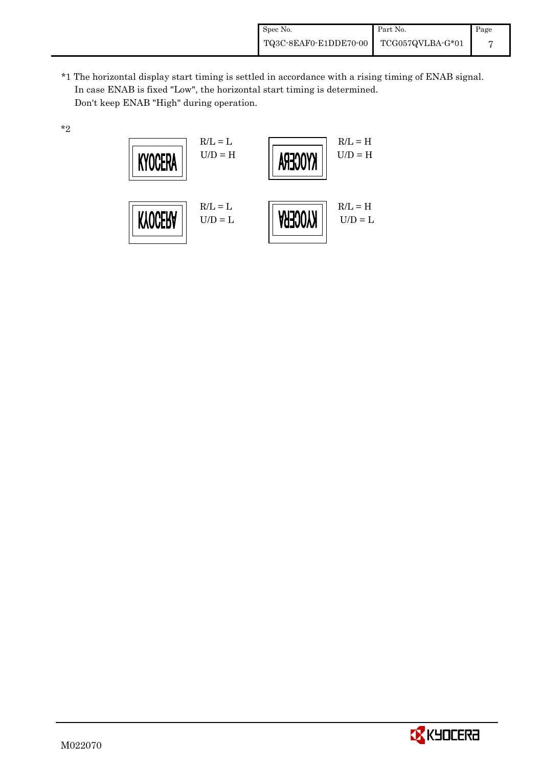\*1 The horizontal display start timing is settled in accordance with a rising timing of ENAB signal. In case ENAB is fixed "Low", the horizontal start timing is determined. Don't keep ENAB "High" during operation.

\*2



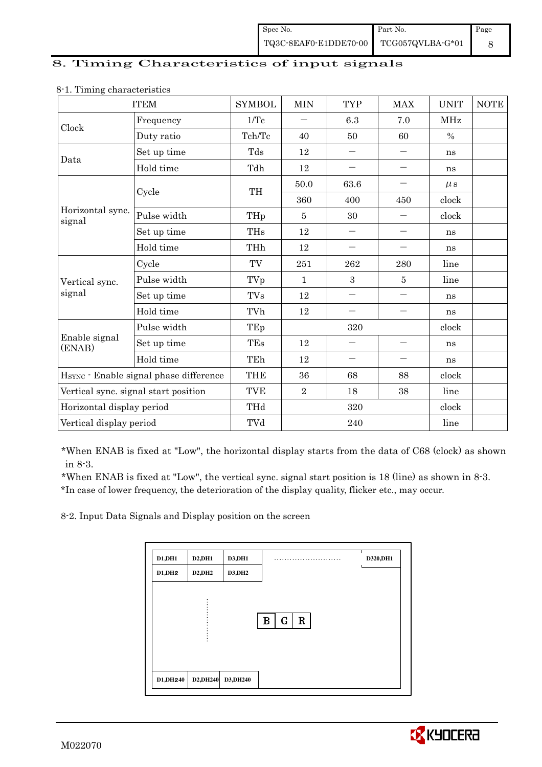| Spec No.              | Part No.         | Page |
|-----------------------|------------------|------|
| TQ3C-8EAF0-E1DDE70-00 | TCG057QVLBA-G*01 |      |

#### 8. Timing Characteristics of input signals

|                                        | <b>ITEM</b>                          | <b>SYMBOL</b>        | <b>MIN</b>     | <b>TYP</b>               | <b>MAX</b>               | <b>UNIT</b>   | $\operatorname{NOTE}$ |
|----------------------------------------|--------------------------------------|----------------------|----------------|--------------------------|--------------------------|---------------|-----------------------|
|                                        | Frequency                            | 1/Tc                 |                | 6.3                      | 7.0                      | <b>MHz</b>    |                       |
| Clock                                  | Duty ratio                           | Tch/Tc               | 40             | 50                       | 60                       | $\frac{0}{0}$ |                       |
| Data                                   | Set up time                          | Tds                  | 12             | $\overline{\phantom{0}}$ | $\qquad \qquad -$        | ns            |                       |
|                                        | Hold time                            | Tdh                  | 12             | $\qquad \qquad -$        | $\qquad \qquad -$        | ns            |                       |
|                                        | Cycle                                | TH                   | 50.0           | 63.6                     |                          | $\mu$ s       |                       |
|                                        |                                      |                      | 360            | 400                      | 450                      | clock         |                       |
| Horizontal sync.<br>signal             | Pulse width                          | THp                  | 5              | 30                       |                          | clock         |                       |
|                                        | Set up time                          | <b>THs</b>           | 12             | $\qquad \qquad -$        |                          | ns            |                       |
|                                        | Hold time                            | THh                  | 12             |                          |                          | ns            |                       |
|                                        | Cycle                                | TV                   | 251            | 262                      | 280                      | line          |                       |
| Vertical sync.                         | Pulse width                          | TVp                  | 1              | 3                        | $\overline{5}$           | line          |                       |
| signal                                 | Set up time                          | <b>TVs</b>           | 12             | $\overline{\phantom{0}}$ |                          | ns            |                       |
|                                        | Hold time                            | TVh                  | 12             |                          | $\overline{\phantom{0}}$ | ns            |                       |
|                                        | Pulse width                          | TEp                  | 320            |                          |                          | clock         |                       |
| Enable signal<br>(ENAB)                | Set up time                          | <b>TEs</b>           | 12             |                          | $\qquad \qquad =$        | ns            |                       |
|                                        | Hold time                            | TEh                  | 12             |                          |                          | ns            |                       |
| HSYNC · Enable signal phase difference |                                      | <b>THE</b>           | 36             | 68                       | 88                       | clock         |                       |
|                                        | Vertical sync. signal start position | TVE                  | $\overline{2}$ | 18                       | 38                       | line          |                       |
| Horizontal display period              |                                      | THd                  | 320            |                          |                          | clock         |                       |
| Vertical display period                |                                      | $\operatorname{TVd}$ | 240            |                          |                          | line          |                       |

#### 8-1. Timing characteristics

\*When ENAB is fixed at "Low", the horizontal display starts from the data of C68 (clock) as shown in 8-3.

 \*When ENAB is fixed at "Low", the vertical sync. signal start position is 18 (line) as shown in 8-3. \*In case of lower frequency, the deterioration of the display quality, flicker etc., may occur.

8-2. Input Data Signals and Display position on the screen

| D1,DH1  | D2,DH1  | <b>D3,DH1</b> | . .                             | D320,DH1 |
|---------|---------|---------------|---------------------------------|----------|
| D1, DH2 | D2, DH2 | D3, DH2       |                                 |          |
|         |         |               |                                 |          |
|         |         |               |                                 |          |
|         |         |               | $\mathbf R$<br>$\mathbf G$<br>B |          |
|         |         |               |                                 |          |
|         |         |               |                                 |          |
|         |         |               |                                 |          |
|         |         |               |                                 |          |

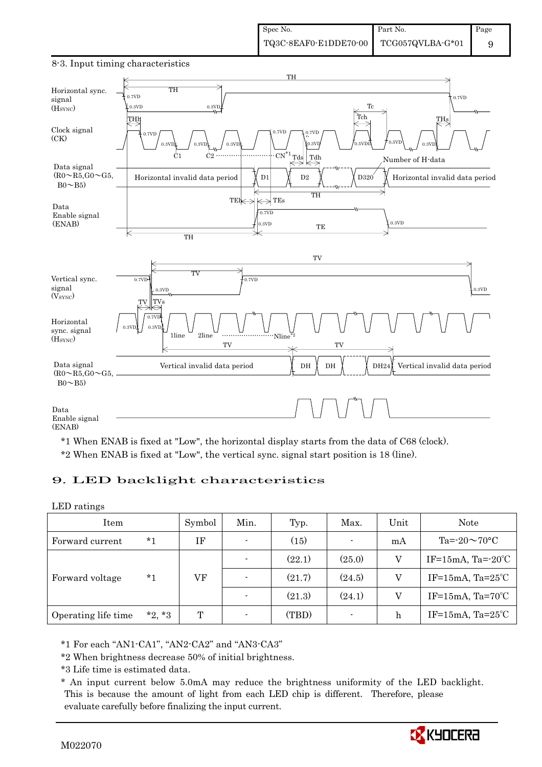

#### 8-3. Input timing characteristics

\*1 When ENAB is fixed at "Low", the horizontal display starts from the data of C68 (clock). \*2 When ENAB is fixed at "Low", the vertical sync. signal start position is 18 (line).

# 9. LED backlight characteristics

#### LED ratings

| Item                |          | Symbol | Min. | Typ.   | Max.           | Unit | Note                         |
|---------------------|----------|--------|------|--------|----------------|------|------------------------------|
| Forward current     | $*1$     | ΙF     |      | (15)   | $\blacksquare$ | mA   | Ta= $-20 \sim 70$ °C         |
|                     | $*_{1}$  | VF     |      | (22.1) | (25.0)         | V    | IF=15mA, Ta= $-20^{\circ}$ C |
| Forward voltage     |          |        |      | (21.7) | (24.5)         | V    | IF=15mA, $Ta=25^{\circ}C$    |
|                     |          |        |      | (21.3) | (24.1)         | V    | IF=15mA, $Ta=70^{\circ}C$    |
| Operating life time | $*2, *3$ | T      |      | (TBD)  | $\blacksquare$ | h    | IF=15mA, $Ta=25^{\circ}C$    |

\*1 For each "AN1-CA1", "AN2-CA2" and "AN3-CA3"

\*2 When brightness decrease 50% of initial brightness.

\*3 Life time is estimated data.

 \* An input current below 5.0mA may reduce the brightness uniformity of the LED backlight. This is because the amount of light from each LED chip is different. Therefore, please evaluate carefully before finalizing the input current.

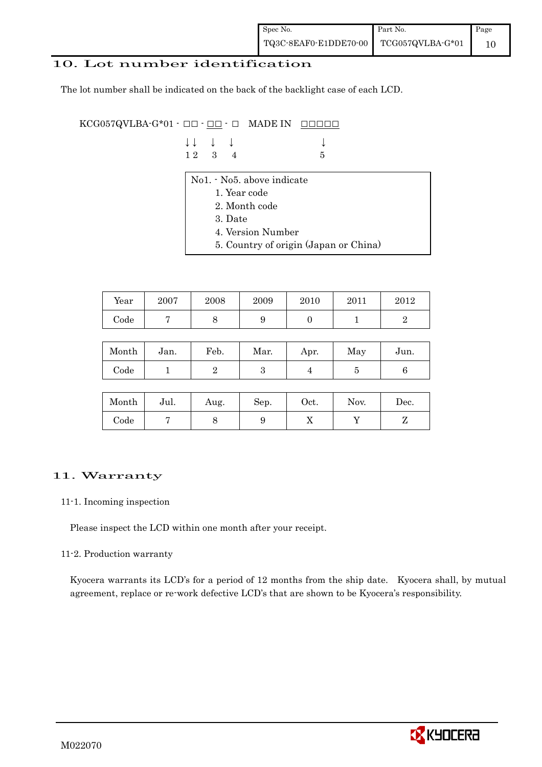#### 10. Lot number identification

The lot number shall be indicated on the back of the backlight case of each LCD.

KCG057QVLBA-G\*01 -  $\Box$  $\Box$   $\Box$   $\Box$   $\Box$  MADE IN  $\Box$  $\Box$  $\Box$  $\Box$  $\Box$ 

| $\downarrow \downarrow$ $\downarrow$ $\downarrow$ |  |             |
|---------------------------------------------------|--|-------------|
| $12 \quad 3 \quad 4$                              |  | $5^{\circ}$ |

- No1. No5. above indicate
	- 1. Year code
	- 2. Month code
	- 3. Date
	- 4. Version Number
	- 5. Country of origin (Japan or China)

| Year | 2007 | 2008 | 2009 | 2010 | 2011 | 2012 |
|------|------|------|------|------|------|------|
| Code |      |      | ບ    |      |      |      |

| Month      | Jan. | Feb. | Mar. | Apr. | May | Jun. |
|------------|------|------|------|------|-----|------|
| $\rm Code$ |      |      | ౿    |      |     |      |

| Month | Jul. | Aug. | Sep. | Oct. | Nov. | $\operatorname{Dec.}$ |
|-------|------|------|------|------|------|-----------------------|
| Code  |      |      |      | ∡⊾   |      |                       |

#### 11. Warranty

#### 11-1. Incoming inspection

Please inspect the LCD within one month after your receipt.

#### 11-2. Production warranty

 Kyocera warrants its LCD's for a period of 12 months from the ship date. Kyocera shall, by mutual agreement, replace or re-work defective LCD's that are shown to be Kyocera's responsibility.

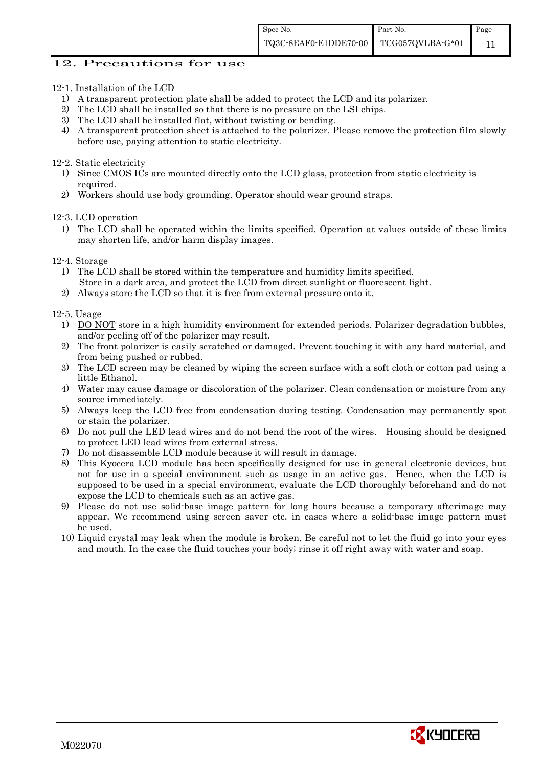#### 12. Precautions for use

- 12-1. Installation of the LCD
	- 1) A transparent protection plate shall be added to protect the LCD and its polarizer.
	- 2) The LCD shall be installed so that there is no pressure on the LSI chips.
	- 3) The LCD shall be installed flat, without twisting or bending.
	- 4) A transparent protection sheet is attached to the polarizer. Please remove the protection film slowly before use, paying attention to static electricity.

#### 12-2. Static electricity

- 1) Since CMOS ICs are mounted directly onto the LCD glass, protection from static electricity is required.
- 2) Workers should use body grounding. Operator should wear ground straps.

12-3. LCD operation

- 1) The LCD shall be operated within the limits specified. Operation at values outside of these limits may shorten life, and/or harm display images.
- 12-4. Storage
	- 1) The LCD shall be stored within the temperature and humidity limits specified. Store in a dark area, and protect the LCD from direct sunlight or fluorescent light.
	- 2) Always store the LCD so that it is free from external pressure onto it.

12-5. Usage

- 1) DO NOT store in a high humidity environment for extended periods. Polarizer degradation bubbles, and/or peeling off of the polarizer may result.
- 2) The front polarizer is easily scratched or damaged. Prevent touching it with any hard material, and from being pushed or rubbed.
- 3) The LCD screen may be cleaned by wiping the screen surface with a soft cloth or cotton pad using a little Ethanol.
- 4) Water may cause damage or discoloration of the polarizer. Clean condensation or moisture from any source immediately.
- 5) Always keep the LCD free from condensation during testing. Condensation may permanently spot or stain the polarizer.
- 6) Do not pull the LED lead wires and do not bend the root of the wires. Housing should be designed to protect LED lead wires from external stress.
- 7) Do not disassemble LCD module because it will result in damage.
- 8) This Kyocera LCD module has been specifically designed for use in general electronic devices, but not for use in a special environment such as usage in an active gas. Hence, when the LCD is supposed to be used in a special environment, evaluate the LCD thoroughly beforehand and do not expose the LCD to chemicals such as an active gas.
- 9) Please do not use solid-base image pattern for long hours because a temporary afterimage may appear. We recommend using screen saver etc. in cases where a solid-base image pattern must be used.
- 10) Liquid crystal may leak when the module is broken. Be careful not to let the fluid go into your eyes and mouth. In the case the fluid touches your body; rinse it off right away with water and soap.

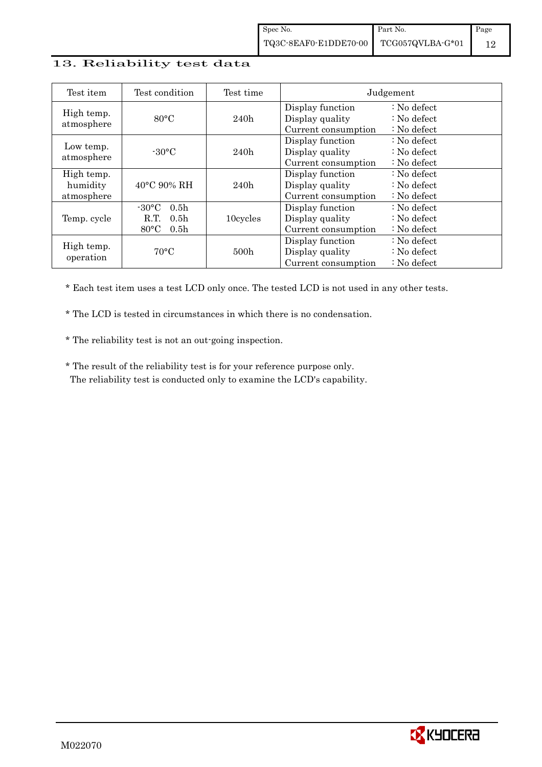#### 13. Reliability test data

| Test item                            | Test condition                                                                                        | Test time        |                                                            | Judgement                                                                  |
|--------------------------------------|-------------------------------------------------------------------------------------------------------|------------------|------------------------------------------------------------|----------------------------------------------------------------------------|
| High temp.<br>atmosphere             | $80^{\circ}$ C                                                                                        | 240h             | Display function<br>Display quality<br>Current consumption | $: No$ defect<br>$\therefore$ No defect<br>: No defect                     |
| Low temp.<br>atmosphere              | $-30\degree C$                                                                                        | 240h             | Display function<br>Display quality<br>Current consumption | $: No$ defect<br>: No defect<br>$\therefore$ No defect                     |
| High temp.<br>humidity<br>atmosphere | 40°C 90% RH                                                                                           | 240h             | Display function<br>Display quality<br>Current consumption | $\therefore$ No defect<br>$\therefore$ No defect<br>$\therefore$ No defect |
| Temp. cycle                          | $-30^{\circ}$ C<br>0.5 <sub>h</sub><br>0.5 <sub>h</sub><br>R.T.<br>$80^{\circ}$ C<br>0.5 <sub>h</sub> | 10cycles         | Display function<br>Display quality<br>Current consumption | $\therefore$ No defect<br>$\therefore$ No defect<br>$\therefore$ No defect |
| High temp.<br>operation              | $70^{\circ}$ C                                                                                        | 500 <sub>h</sub> | Display function<br>Display quality<br>Current consumption | : No defect<br>$\therefore$ No defect<br>$\therefore$ No defect            |

\* Each test item uses a test LCD only once. The tested LCD is not used in any other tests.

\* The LCD is tested in circumstances in which there is no condensation.

\* The reliability test is not an out-going inspection.

 \* The result of the reliability test is for your reference purpose only. The reliability test is conducted only to examine the LCD's capability.

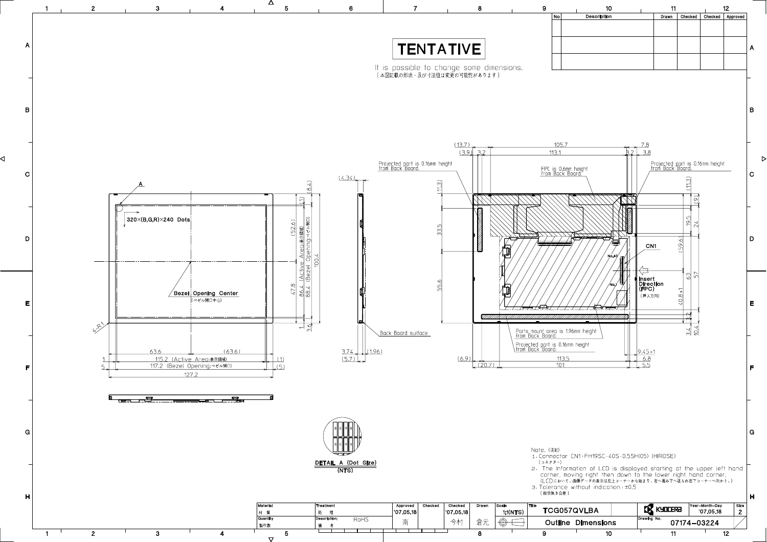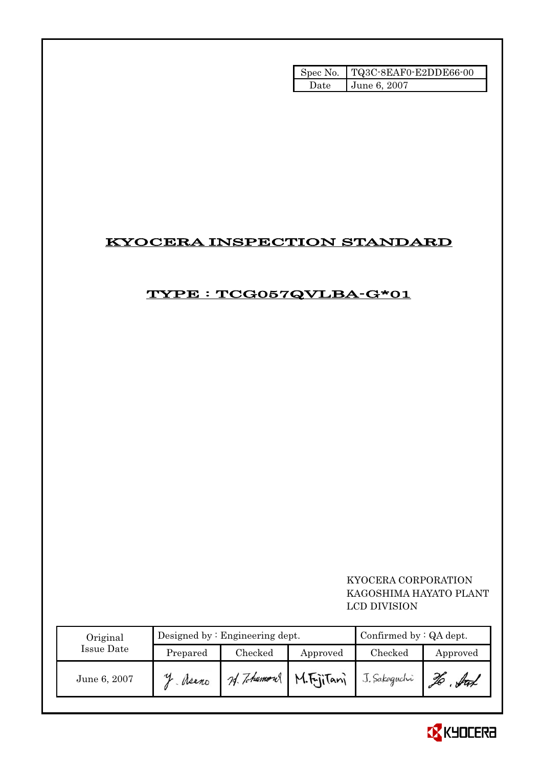| Spec No. | TQ3C-8EAF0-E2DDE66-00 |
|----------|-----------------------|
| Jate.    | June 6, 2007          |

# KYOCERA INSPECTION STANDARD

# TYPE : TCG057QVLBA-G\*01

### KYOCERA CORPORATION KAGOSHIMA HAYATO PLANT LCD DIVISION

| Original<br>Issue Date |          | Designed by: Engineering dept. | Confirmed by $:QA$ dept. |              |          |
|------------------------|----------|--------------------------------|--------------------------|--------------|----------|
|                        | Prepared | Checked                        | Approved                 | Checked      | Approved |
| June 6, 2007           | Neano    | 24. Tohumour                   | M.FriiTani               | J. Sakaguchi | ful      |

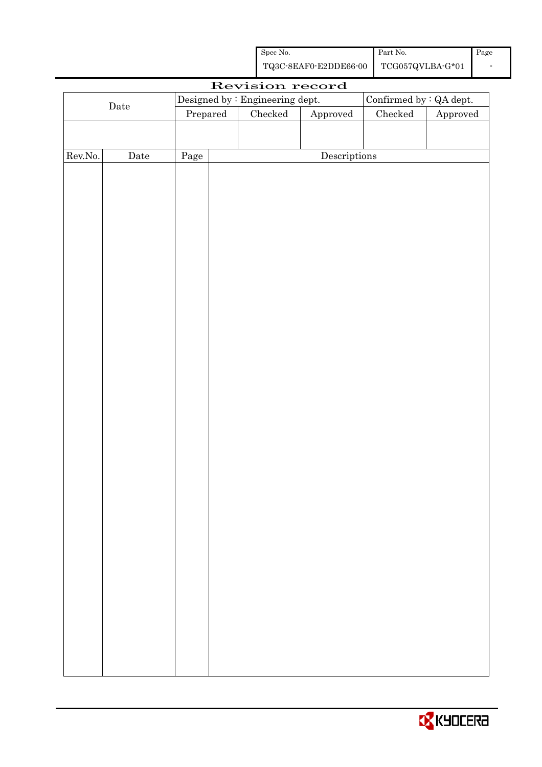| Spec No. | Part No. | Page |
|----------|----------|------|
|          |          |      |

| Revision record |             |          |              |                                 |  |                         |          |
|-----------------|-------------|----------|--------------|---------------------------------|--|-------------------------|----------|
| $\rm{Date}$     |             |          |              | Designed by : Engineering dept. |  | Confirmed by : QA dept. |          |
|                 |             | Prepared |              | Checked<br>Approved             |  | ${\it Checked}$         | Approved |
|                 |             |          |              |                                 |  |                         |          |
|                 |             |          |              |                                 |  |                         |          |
| Rev.No.         | $\rm{Date}$ | Page     | Descriptions |                                 |  |                         |          |
|                 |             |          |              |                                 |  |                         |          |
|                 |             |          |              |                                 |  |                         |          |
|                 |             |          |              |                                 |  |                         |          |
|                 |             |          |              |                                 |  |                         |          |
|                 |             |          |              |                                 |  |                         |          |
|                 |             |          |              |                                 |  |                         |          |
|                 |             |          |              |                                 |  |                         |          |
|                 |             |          |              |                                 |  |                         |          |
|                 |             |          |              |                                 |  |                         |          |
|                 |             |          |              |                                 |  |                         |          |
|                 |             |          |              |                                 |  |                         |          |
|                 |             |          |              |                                 |  |                         |          |
|                 |             |          |              |                                 |  |                         |          |
|                 |             |          |              |                                 |  |                         |          |
|                 |             |          |              |                                 |  |                         |          |
|                 |             |          |              |                                 |  |                         |          |
|                 |             |          |              |                                 |  |                         |          |
|                 |             |          |              |                                 |  |                         |          |
|                 |             |          |              |                                 |  |                         |          |
|                 |             |          |              |                                 |  |                         |          |
|                 |             |          |              |                                 |  |                         |          |
|                 |             |          |              |                                 |  |                         |          |
|                 |             |          |              |                                 |  |                         |          |
|                 |             |          |              |                                 |  |                         |          |
|                 |             |          |              |                                 |  |                         |          |
|                 |             |          |              |                                 |  |                         |          |
|                 |             |          |              |                                 |  |                         |          |
|                 |             |          |              |                                 |  |                         |          |
|                 |             |          |              |                                 |  |                         |          |
|                 |             |          |              |                                 |  |                         |          |
|                 |             |          |              |                                 |  |                         |          |
|                 |             |          |              |                                 |  |                         |          |
|                 |             |          |              |                                 |  |                         |          |
|                 |             |          |              |                                 |  |                         |          |
|                 |             |          |              |                                 |  |                         |          |

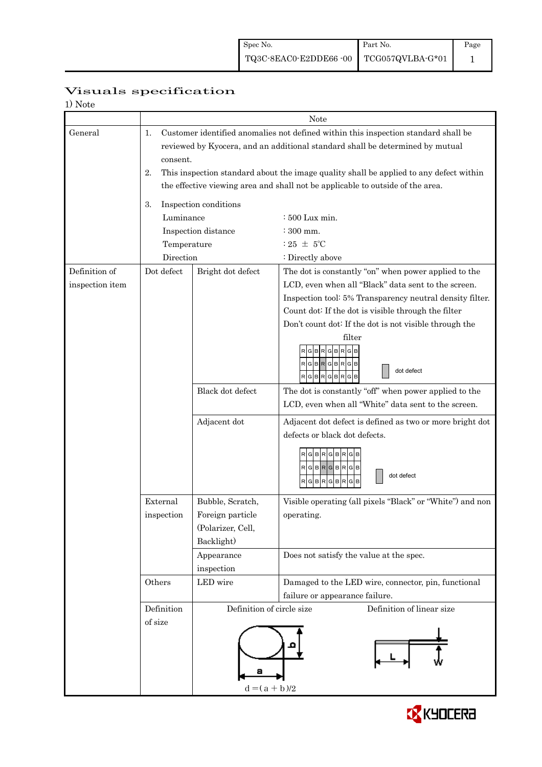|                          | Visuals specification |
|--------------------------|-----------------------|
| $1)$ $N_{\alpha+\alpha}$ |                       |

| 1) Note         |                                                                               |                                                                                        |                                                           |  |  |  |
|-----------------|-------------------------------------------------------------------------------|----------------------------------------------------------------------------------------|-----------------------------------------------------------|--|--|--|
|                 | Note                                                                          |                                                                                        |                                                           |  |  |  |
| General         | 1.                                                                            | Customer identified anomalies not defined within this inspection standard shall be     |                                                           |  |  |  |
|                 | reviewed by Kyocera, and an additional standard shall be determined by mutual |                                                                                        |                                                           |  |  |  |
|                 | consent.                                                                      |                                                                                        |                                                           |  |  |  |
|                 | 2.                                                                            | This inspection standard about the image quality shall be applied to any defect within |                                                           |  |  |  |
|                 |                                                                               | the effective viewing area and shall not be applicable to outside of the area.         |                                                           |  |  |  |
|                 |                                                                               |                                                                                        |                                                           |  |  |  |
|                 | 3.                                                                            | Inspection conditions                                                                  |                                                           |  |  |  |
|                 | Luminance                                                                     |                                                                                        | : 500 Lux min.                                            |  |  |  |
|                 |                                                                               | Inspection distance                                                                    | $:300$ mm.                                                |  |  |  |
|                 | Temperature                                                                   |                                                                                        | $:25 \pm 5^{\circ}$ C                                     |  |  |  |
|                 | Direction                                                                     |                                                                                        | : Directly above                                          |  |  |  |
| Definition of   | Dot defect                                                                    | Bright dot defect                                                                      | The dot is constantly "on" when power applied to the      |  |  |  |
| inspection item |                                                                               |                                                                                        | LCD, even when all "Black" data sent to the screen.       |  |  |  |
|                 |                                                                               |                                                                                        | Inspection tool: 5% Transparency neutral density filter.  |  |  |  |
|                 |                                                                               |                                                                                        | Count dot: If the dot is visible through the filter       |  |  |  |
|                 |                                                                               |                                                                                        | Don't count dot: If the dot is not visible through the    |  |  |  |
|                 |                                                                               |                                                                                        | filter                                                    |  |  |  |
|                 |                                                                               |                                                                                        | RGB<br>G B                                                |  |  |  |
|                 |                                                                               |                                                                                        | RGBRGBRGB                                                 |  |  |  |
|                 |                                                                               |                                                                                        | dot defect<br>RGBRGBRGB                                   |  |  |  |
|                 |                                                                               | Black dot defect                                                                       | The dot is constantly "off" when power applied to the     |  |  |  |
|                 |                                                                               |                                                                                        | LCD, even when all "White" data sent to the screen.       |  |  |  |
|                 |                                                                               | Adjacent dot                                                                           | Adjacent dot defect is defined as two or more bright dot  |  |  |  |
|                 |                                                                               |                                                                                        | defects or black dot defects.                             |  |  |  |
|                 |                                                                               |                                                                                        |                                                           |  |  |  |
|                 |                                                                               |                                                                                        | Iв<br><b>BR</b>                                           |  |  |  |
|                 |                                                                               |                                                                                        | RGBRGBRG<br>dot defect                                    |  |  |  |
|                 |                                                                               |                                                                                        | RGBRGBRGB                                                 |  |  |  |
|                 | External                                                                      | Bubble, Scratch,                                                                       | Visible operating (all pixels "Black" or "White") and non |  |  |  |
|                 | Foreign particle<br>inspection                                                |                                                                                        | operating.                                                |  |  |  |
|                 |                                                                               | (Polarizer, Cell,                                                                      |                                                           |  |  |  |
|                 |                                                                               | Backlight)                                                                             |                                                           |  |  |  |
|                 |                                                                               | Appearance                                                                             | Does not satisfy the value at the spec.                   |  |  |  |
|                 |                                                                               | inspection                                                                             |                                                           |  |  |  |
|                 | Others                                                                        | LED wire                                                                               | Damaged to the LED wire, connector, pin, functional       |  |  |  |
|                 |                                                                               |                                                                                        | failure or appearance failure.                            |  |  |  |
|                 | Definition                                                                    | Definition of circle size<br>Definition of linear size                                 |                                                           |  |  |  |
|                 | of size                                                                       |                                                                                        |                                                           |  |  |  |
|                 |                                                                               |                                                                                        |                                                           |  |  |  |
|                 |                                                                               |                                                                                        |                                                           |  |  |  |
|                 |                                                                               |                                                                                        |                                                           |  |  |  |
|                 |                                                                               | а                                                                                      |                                                           |  |  |  |
|                 |                                                                               | $d = (a + b)/2$                                                                        |                                                           |  |  |  |
|                 |                                                                               |                                                                                        |                                                           |  |  |  |